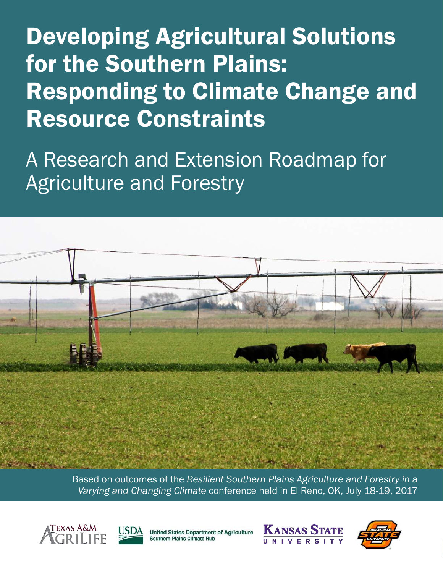**Developing Agricultural Solutions** for the Southern Plains: **Responding to Climate Change and Resource Constraints** 

A Research and Extension Roadmap for **Agriculture and Forestry** 



Based on outcomes of the Resilient Southern Plains Agriculture and Forestry in a Varying and Changing Climate conference held in El Reno, OK, July 18-19, 2017





**United States Department of Agriculture** Southern Plains Climate Hub



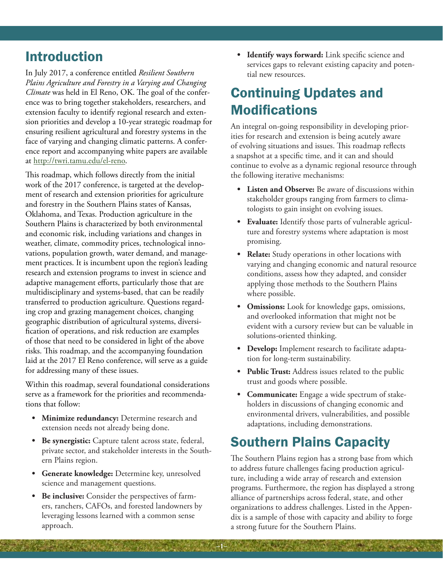## Introduction

In July 2017, a conference entitled *Resilient Southern Plains Agriculture and Forestry in a Varying and Changing Climate* was held in El Reno, OK. The goal of the conference was to bring together stakeholders, researchers, and extension faculty to identify regional research and extension priorities and develop a 10-year strategic roadmap for ensuring resilient agricultural and forestry systems in the face of varying and changing climatic patterns. A conference report and accompanying white papers are available at http://twri.tamu.edu/el-reno.

This roadmap, which follows directly from the initial work of the 2017 conference, is targeted at the development of research and extension priorities for agriculture and forestry in the Southern Plains states of Kansas, Oklahoma, and Texas. Production agriculture in the Southern Plains is characterized by both environmental and economic risk, including variations and changes in weather, climate, commodity prices, technological innovations, population growth, water demand, and management practices. It is incumbent upon the region's leading research and extension programs to invest in science and adaptive management efforts, particularly those that are multidisciplinary and systems-based, that can be readily transferred to production agriculture. Questions regarding crop and grazing management choices, changing geographic distribution of agricultural systems, diversification of operations, and risk reduction are examples of those that need to be considered in light of the above risks. This roadmap, and the accompanying foundation laid at the 2017 El Reno conference, will serve as a guide for addressing many of these issues.

Within this roadmap, several foundational considerations serve as a framework for the priorities and recommendations that follow:

- **• Minimize redundancy:** Determine research and extension needs not already being done.
- **• Be synergistic:** Capture talent across state, federal, private sector, and stakeholder interests in the Southern Plains region.
- **• Generate knowledge:** Determine key, unresolved science and management questions.
- **• Be inclusive:** Consider the perspectives of farmers, ranchers, CAFOs, and forested landowners by leveraging lessons learned with a common sense approach.

**• Identify ways forward:** Link specific science and services gaps to relevant existing capacity and potential new resources.

# Continuing Updates and **Modifications**

An integral on-going responsibility in developing priorities for research and extension is being acutely aware of evolving situations and issues. This roadmap reflects a snapshot at a specific time, and it can and should continue to evolve as a dynamic regional resource through the following iterative mechanisms:

- **• Listen and Observe:** Be aware of discussions within stakeholder groups ranging from farmers to climatologists to gain insight on evolving issues.
- **• Evaluate:** Identify those parts of vulnerable agriculture and forestry systems where adaptation is most promising.
- **• Relate:** Study operations in other locations with varying and changing economic and natural resource conditions, assess how they adapted, and consider applying those methods to the Southern Plains where possible.
- **• Omissions:** Look for knowledge gaps, omissions, and overlooked information that might not be evident with a cursory review but can be valuable in solutions-oriented thinking.
- **• Develop:** Implement research to facilitate adaptation for long-term sustainability.
- **• Public Trust:** Address issues related to the public trust and goods where possible.
- **• Communicate:** Engage a wide spectrum of stakeholders in discussions of changing economic and environmental drivers, vulnerabilities, and possible adaptations, including demonstrations.

# Southern Plains Capacity

**–1–**

The Southern Plains region has a strong base from which to address future challenges facing production agriculture, including a wide array of research and extension programs. Furthermore, the region has displayed a strong alliance of partnerships across federal, state, and other organizations to address challenges. Listed in the Appendix is a sample of those with capacity and ability to forge a strong future for the Southern Plains.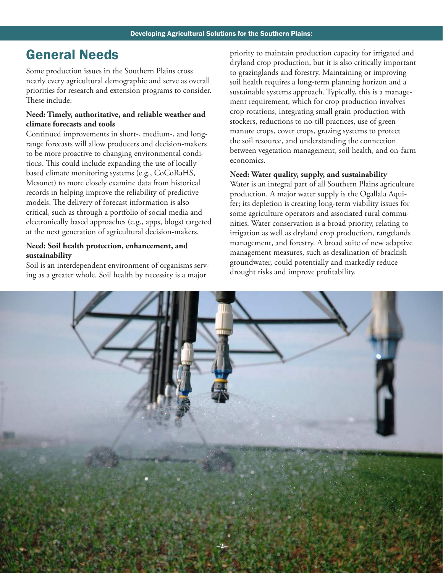## General Needs

Some production issues in the Southern Plains cross nearly every agricultural demographic and serve as overall priorities for research and extension programs to consider. These include:

## **Need: Timely, authoritative, and reliable weather and climate forecasts and tools**

Continued improvements in short-, medium-, and longrange forecasts will allow producers and decision-makers to be more proactive to changing environmental conditions. This could include expanding the use of locally based climate monitoring systems (e.g., CoCoRaHS, Mesonet) to more closely examine data from historical records in helping improve the reliability of predictive models. The delivery of forecast information is also critical, such as through a portfolio of social media and electronically based approaches (e.g., apps, blogs) targeted at the next generation of agricultural decision-makers.

#### **Need: Soil health protection, enhancement, and sustainability**

Soil is an interdependent environment of organisms serving as a greater whole. Soil health by necessity is a major

priority to maintain production capacity for irrigated and dryland crop production, but it is also critically important to grazinglands and forestry. Maintaining or improving soil health requires a long-term planning horizon and a sustainable systems approach. Typically, this is a management requirement, which for crop production involves crop rotations, integrating small grain production with stockers, reductions to no-till practices, use of green manure crops, cover crops, grazing systems to protect the soil resource, and understanding the connection between vegetation management, soil health, and on-farm economics.

#### **Need: Water quality, supply, and sustainability**

Water is an integral part of all Southern Plains agriculture production. A major water supply is the Ogallala Aquifer; its depletion is creating long-term viability issues for some agriculture operators and associated rural communities. Water conservation is a broad priority, relating to irrigation as well as dryland crop production, rangelands management, and forestry. A broad suite of new adaptive management measures, such as desalination of brackish groundwater, could potentially and markedly reduce drought risks and improve profitability.

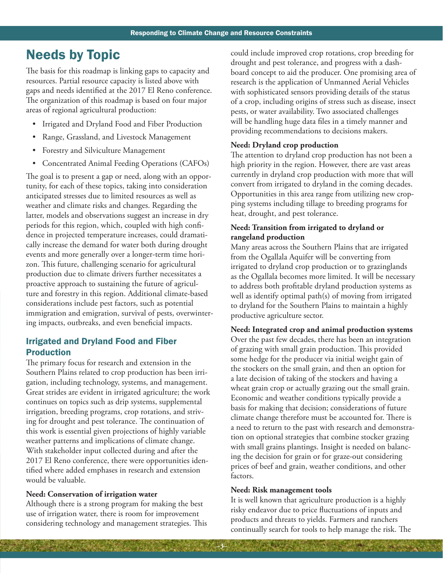## Needs by Topic

The basis for this roadmap is linking gaps to capacity and resources. Partial resource capacity is listed above with gaps and needs identified at the 2017 El Reno conference. The organization of this roadmap is based on four major areas of regional agricultural production:

- Irrigated and Dryland Food and Fiber Production
- Range, Grassland, and Livestock Management
- Forestry and Silviculture Management
- Concentrated Animal Feeding Operations (CAFOs)

The goal is to present a gap or need, along with an opportunity, for each of these topics, taking into consideration anticipated stresses due to limited resources as well as weather and climate risks and changes. Regarding the latter, models and observations suggest an increase in dry periods for this region, which, coupled with high confidence in projected temperature increases, could dramatically increase the demand for water both during drought events and more generally over a longer-term time horizon. This future, challenging scenario for agricultural production due to climate drivers further necessitates a proactive approach to sustaining the future of agriculture and forestry in this region. Additional climate-based considerations include pest factors, such as potential immigration and emigration, survival of pests, overwintering impacts, outbreaks, and even beneficial impacts.

## Irrigated and Dryland Food and Fiber Production

The primary focus for research and extension in the Southern Plains related to crop production has been irrigation, including technology, systems, and management. Great strides are evident in irrigated agriculture; the work continues on topics such as drip systems, supplemental irrigation, breeding programs, crop rotations, and striving for drought and pest tolerance. The continuation of this work is essential given projections of highly variable weather patterns and implications of climate change. With stakeholder input collected during and after the 2017 El Reno conference, there were opportunities identified where added emphases in research and extension would be valuable.

#### **Need: Conservation of irrigation water**

Although there is a strong program for making the best use of irrigation water, there is room for improvement considering technology and management strategies. This could include improved crop rotations, crop breeding for drought and pest tolerance, and progress with a dashboard concept to aid the producer. One promising area of research is the application of Unmanned Aerial Vehicles with sophisticated sensors providing details of the status of a crop, including origins of stress such as disease, insect pests, or water availability. Two associated challenges will be handling huge data files in a timely manner and providing recommendations to decisions makers.

#### **Need: Dryland crop production**

The attention to dryland crop production has not been a high priority in the region. However, there are vast areas currently in dryland crop production with more that will convert from irrigated to dryland in the coming decades. Opportunities in this area range from utilizing new cropping systems including tillage to breeding programs for heat, drought, and pest tolerance.

#### **Need: Transition from irrigated to dryland or rangeland production**

Many areas across the Southern Plains that are irrigated from the Ogallala Aquifer will be converting from irrigated to dryland crop production or to grazinglands as the Ogallala becomes more limited. It will be necessary to address both profitable dryland production systems as well as identify optimal path(s) of moving from irrigated to dryland for the Southern Plains to maintain a highly productive agriculture sector.

#### **Need: Integrated crop and animal production systems**

Over the past few decades, there has been an integration of grazing with small grain production. This provided some hedge for the producer via initial weight gain of the stockers on the small grain, and then an option for a late decision of taking of the stockers and having a wheat grain crop or actually grazing out the small grain. Economic and weather conditions typically provide a basis for making that decision; considerations of future climate change therefore must be accounted for. There is a need to return to the past with research and demonstration on optional strategies that combine stocker grazing with small grains plantings. Insight is needed on balancing the decision for grain or for graze-out considering prices of beef and grain, weather conditions, and other factors.

#### **Need: Risk management tools**

**–3–**

It is well known that agriculture production is a highly risky endeavor due to price fluctuations of inputs and products and threats to yields. Farmers and ranchers continually search for tools to help manage the risk. The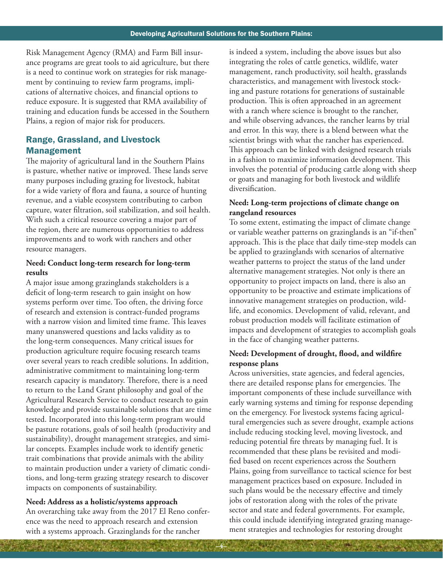**–4–**

Risk Management Agency (RMA) and Farm Bill insurance programs are great tools to aid agriculture, but there is a need to continue work on strategies for risk management by continuing to review farm programs, implications of alternative choices, and financial options to reduce exposure. It is suggested that RMA availability of training and education funds be accessed in the Southern Plains, a region of major risk for producers.

## Range, Grassland, and Livestock Management

The majority of agricultural land in the Southern Plains is pasture, whether native or improved. These lands serve many purposes including grazing for livestock, habitat for a wide variety of flora and fauna, a source of hunting revenue, and a viable ecosystem contributing to carbon capture, water filtration, soil stabilization, and soil health. With such a critical resource covering a major part of the region, there are numerous opportunities to address improvements and to work with ranchers and other resource managers.

### **Need: Conduct long-term research for long-term results**

A major issue among grazinglands stakeholders is a deficit of long-term research to gain insight on how systems perform over time. Too often, the driving force of research and extension is contract-funded programs with a narrow vision and limited time frame. This leaves many unanswered questions and lacks validity as to the long-term consequences. Many critical issues for production agriculture require focusing research teams over several years to reach credible solutions. In addition, administrative commitment to maintaining long-term research capacity is mandatory. Therefore, there is a need to return to the Land Grant philosophy and goal of the Agricultural Research Service to conduct research to gain knowledge and provide sustainable solutions that are time tested. Incorporated into this long-term program would be pasture rotations, goals of soil health (productivity and sustainability), drought management strategies, and similar concepts. Examples include work to identify genetic trait combinations that provide animals with the ability to maintain production under a variety of climatic conditions, and long-term grazing strategy research to discover impacts on components of sustainability.

## **Need: Address as a holistic/systems approach**  An overarching take away from the 2017 El Reno conference was the need to approach research and extension with a systems approach. Grazinglands for the rancher

is indeed a system, including the above issues but also integrating the roles of cattle genetics, wildlife, water management, ranch productivity, soil health, grasslands characteristics, and management with livestock stocking and pasture rotations for generations of sustainable production. This is often approached in an agreement with a ranch where science is brought to the rancher, and while observing advances, the rancher learns by trial and error. In this way, there is a blend between what the scientist brings with what the rancher has experienced. This approach can be linked with designed research trials in a fashion to maximize information development. This involves the potential of producing cattle along with sheep or goats and managing for both livestock and wildlife diversification.

## **Need: Long-term projections of climate change on rangeland resources**

To some extent, estimating the impact of climate change or variable weather patterns on grazinglands is an "if-then" approach. This is the place that daily time-step models can be applied to grazinglands with scenarios of alternative weather patterns to project the status of the land under alternative management strategies. Not only is there an opportunity to project impacts on land, there is also an opportunity to be proactive and estimate implications of innovative management strategies on production, wildlife, and economics. Development of valid, relevant, and robust production models will facilitate estimation of impacts and development of strategies to accomplish goals in the face of changing weather patterns.

## **Need: Development of drought, flood, and wildfire response plans**

Across universities, state agencies, and federal agencies, there are detailed response plans for emergencies. The important components of these include surveillance with early warning systems and timing for response depending on the emergency. For livestock systems facing agricultural emergencies such as severe drought, example actions include reducing stocking level, moving livestock, and reducing potential fire threats by managing fuel. It is recommended that these plans be revisited and modified based on recent experiences across the Southern Plains, going from surveillance to tactical science for best management practices based on exposure. Included in such plans would be the necessary effective and timely jobs of restoration along with the roles of the private sector and state and federal governments. For example, this could include identifying integrated grazing management strategies and technologies for restoring drought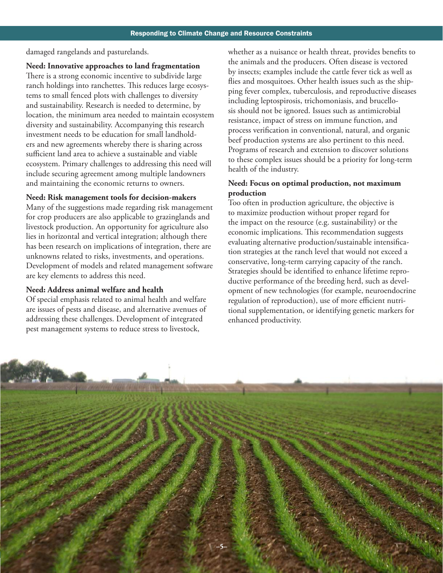damaged rangelands and pasturelands.

#### **Need: Innovative approaches to land fragmentation**

There is a strong economic incentive to subdivide large ranch holdings into ranchettes. This reduces large ecosystems to small fenced plots with challenges to diversity and sustainability. Research is needed to determine, by location, the minimum area needed to maintain ecosystem diversity and sustainability. Accompanying this research investment needs to be education for small landholders and new agreements whereby there is sharing across sufficient land area to achieve a sustainable and viable ecosystem. Primary challenges to addressing this need will include securing agreement among multiple landowners and maintaining the economic returns to owners.

#### **Need: Risk management tools for decision-makers**

Many of the suggestions made regarding risk management for crop producers are also applicable to grazinglands and livestock production. An opportunity for agriculture also lies in horizontal and vertical integration; although there has been research on implications of integration, there are unknowns related to risks, investments, and operations. Development of models and related management software are key elements to address this need.

#### **Need: Address animal welfare and health**

Of special emphasis related to animal health and welfare are issues of pests and disease, and alternative avenues of addressing these challenges. Development of integrated pest management systems to reduce stress to livestock,

whether as a nuisance or health threat, provides benefits to the animals and the producers. Often disease is vectored by insects; examples include the cattle fever tick as well as flies and mosquitoes. Other health issues such as the shipping fever complex, tuberculosis, and reproductive diseases including leptospirosis, trichomoniasis, and brucellosis should not be ignored. Issues such as antimicrobial resistance, impact of stress on immune function, and process verification in conventional, natural, and organic beef production systems are also pertinent to this need. Programs of research and extension to discover solutions to these complex issues should be a priority for long-term health of the industry.

## **Need: Focus on optimal production, not maximum production**

Too often in production agriculture, the objective is to maximize production without proper regard for the impact on the resource (e.g. sustainability) or the economic implications. This recommendation suggests evaluating alternative production/sustainable intensification strategies at the ranch level that would not exceed a conservative, long-term carrying capacity of the ranch. Strategies should be identified to enhance lifetime reproductive performance of the breeding herd, such as development of new technologies (for example, neuroendocrine regulation of reproduction), use of more efficient nutritional supplementation, or identifying genetic markers for enhanced productivity.

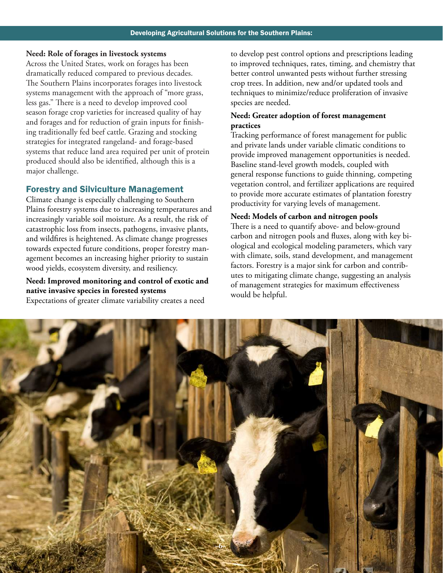#### **Need: Role of forages in livestock systems**

Across the United States, work on forages has been dramatically reduced compared to previous decades. The Southern Plains incorporates forages into livestock systems management with the approach of "more grass, less gas." There is a need to develop improved cool season forage crop varieties for increased quality of hay and forages and for reduction of grain inputs for finishing traditionally fed beef cattle. Grazing and stocking strategies for integrated rangeland- and forage-based systems that reduce land area required per unit of protein produced should also be identified, although this is a major challenge.

#### Forestry and Silviculture Management

Climate change is especially challenging to Southern Plains forestry systems due to increasing temperatures and increasingly variable soil moisture. As a result, the risk of catastrophic loss from insects, pathogens, invasive plants, and wildfires is heightened. As climate change progresses towards expected future conditions, proper forestry management becomes an increasing higher priority to sustain wood yields, ecosystem diversity, and resiliency.

## **Need: Improved monitoring and control of exotic and native invasive species in forested systems**

Expectations of greater climate variability creates a need

to develop pest control options and prescriptions leading to improved techniques, rates, timing, and chemistry that better control unwanted pests without further stressing crop trees. In addition, new and/or updated tools and techniques to minimize/reduce proliferation of invasive species are needed.

#### **Need: Greater adoption of forest management practices**

Tracking performance of forest management for public and private lands under variable climatic conditions to provide improved management opportunities is needed. Baseline stand-level growth models, coupled with general response functions to guide thinning, competing vegetation control, and fertilizer applications are required to provide more accurate estimates of plantation forestry productivity for varying levels of management.

#### **Need: Models of carbon and nitrogen pools**

There is a need to quantify above- and below-ground carbon and nitrogen pools and fluxes, along with key biological and ecological modeling parameters, which vary with climate, soils, stand development, and management factors. Forestry is a major sink for carbon and contributes to mitigating climate change, suggesting an analysis of management strategies for maximum effectiveness would be helpful.

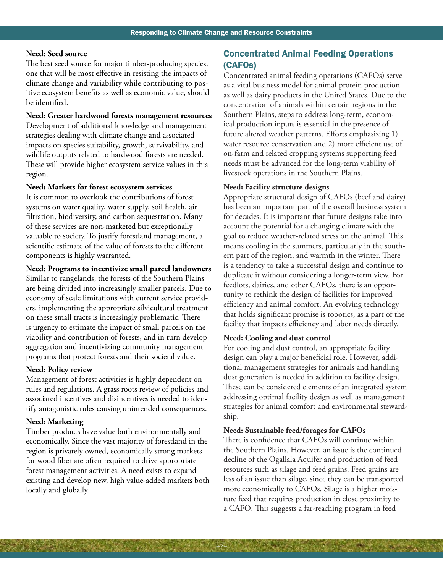#### **Need: Seed source**

The best seed source for major timber-producing species, one that will be most effective in resisting the impacts of climate change and variability while contributing to positive ecosystem benefits as well as economic value, should be identified.

#### **Need: Greater hardwood forests management resources**

Development of additional knowledge and management strategies dealing with climate change and associated impacts on species suitability, growth, survivability, and wildlife outputs related to hardwood forests are needed. These will provide higher ecosystem service values in this region.

#### **Need: Markets for forest ecosystem services**

It is common to overlook the contributions of forest systems on water quality, water supply, soil health, air filtration, biodiversity, and carbon sequestration. Many of these services are non-marketed but exceptionally valuable to society. To justify forestland management, a scientific estimate of the value of forests to the different components is highly warranted.

#### **Need: Programs to incentivize small parcel landowners**

Similar to rangelands, the forests of the Southern Plains are being divided into increasingly smaller parcels. Due to economy of scale limitations with current service providers, implementing the appropriate silvicultural treatment on these small tracts is increasingly problematic. There is urgency to estimate the impact of small parcels on the viability and contribution of forests, and in turn develop aggregation and incentivizing community management programs that protect forests and their societal value.

#### **Need: Policy review**

Management of forest activities is highly dependent on rules and regulations. A grass roots review of policies and associated incentives and disincentives is needed to identify antagonistic rules causing unintended consequences.

#### **Need: Marketing**

Timber products have value both environmentally and economically. Since the vast majority of forestland in the region is privately owned, economically strong markets for wood fiber are often required to drive appropriate forest management activities. A need exists to expand existing and develop new, high value-added markets both locally and globally.

## Concentrated Animal Feeding Operations (CAFOs)

Concentrated animal feeding operations (CAFOs) serve as a vital business model for animal protein production as well as dairy products in the United States. Due to the concentration of animals within certain regions in the Southern Plains, steps to address long-term, economical production inputs is essential in the presence of future altered weather patterns. Efforts emphasizing 1) water resource conservation and 2) more efficient use of on-farm and related cropping systems supporting feed needs must be advanced for the long-term viability of livestock operations in the Southern Plains.

#### **Need: Facility structure designs**

Appropriate structural design of CAFOs (beef and dairy) has been an important part of the overall business system for decades. It is important that future designs take into account the potential for a changing climate with the goal to reduce weather-related stress on the animal. This means cooling in the summers, particularly in the southern part of the region, and warmth in the winter. There is a tendency to take a successful design and continue to duplicate it without considering a longer-term view. For feedlots, dairies, and other CAFOs, there is an opportunity to rethink the design of facilities for improved efficiency and animal comfort. An evolving technology that holds significant promise is robotics, as a part of the facility that impacts efficiency and labor needs directly.

#### **Need: Cooling and dust control**

For cooling and dust control, an appropriate facility design can play a major beneficial role. However, additional management strategies for animals and handling dust generation is needed in addition to facility design. These can be considered elements of an integrated system addressing optimal facility design as well as management strategies for animal comfort and environmental stewardship.

#### **Need: Sustainable feed/forages for CAFOs**

**–7–**

There is confidence that CAFOs will continue within the Southern Plains. However, an issue is the continued decline of the Ogallala Aquifer and production of feed resources such as silage and feed grains. Feed grains are less of an issue than silage, since they can be transported more economically to CAFOs. Silage is a higher moisture feed that requires production in close proximity to a CAFO. This suggests a far-reaching program in feed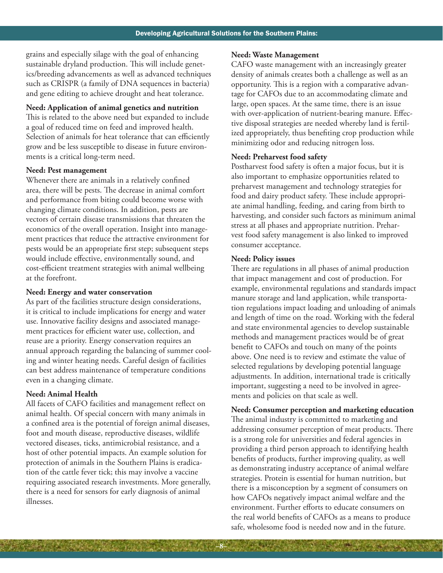grains and especially silage with the goal of enhancing sustainable dryland production. This will include genetics/breeding advancements as well as advanced techniques such as CRISPR (a family of DNA sequences in bacteria) and gene editing to achieve drought and heat tolerance.

#### **Need: Application of animal genetics and nutrition**

This is related to the above need but expanded to include a goal of reduced time on feed and improved health. Selection of animals for heat tolerance that can efficiently grow and be less susceptible to disease in future environments is a critical long-term need.

#### **Need: Pest management**

Whenever there are animals in a relatively confined area, there will be pests. The decrease in animal comfort and performance from biting could become worse with changing climate conditions. In addition, pests are vectors of certain disease transmissions that threaten the economics of the overall operation. Insight into management practices that reduce the attractive environment for pests would be an appropriate first step; subsequent steps would include effective, environmentally sound, and cost-efficient treatment strategies with animal wellbeing at the forefront.

## **Need: Energy and water conservation**

As part of the facilities structure design considerations, it is critical to include implications for energy and water use. Innovative facility designs and associated management practices for efficient water use, collection, and reuse are a priority. Energy conservation requires an annual approach regarding the balancing of summer cooling and winter heating needs. Careful design of facilities can best address maintenance of temperature conditions even in a changing climate.

#### **Need: Animal Health**

All facets of CAFO facilities and management reflect on animal health. Of special concern with many animals in a confined area is the potential of foreign animal diseases, foot and mouth disease, reproductive diseases, wildlife vectored diseases, ticks, antimicrobial resistance, and a host of other potential impacts. An example solution for protection of animals in the Southern Plains is eradication of the cattle fever tick; this may involve a vaccine requiring associated research investments. More generally, there is a need for sensors for early diagnosis of animal illnesses.

#### **Need: Waste Management**

CAFO waste management with an increasingly greater density of animals creates both a challenge as well as an opportunity. This is a region with a comparative advantage for CAFOs due to an accommodating climate and large, open spaces. At the same time, there is an issue with over-application of nutrient-bearing manure. Effective disposal strategies are needed whereby land is fertilized appropriately, thus benefiting crop production while minimizing odor and reducing nitrogen loss.

#### **Need: Preharvest food safety**

Postharvest food safety is often a major focus, but it is also important to emphasize opportunities related to preharvest management and technology strategies for food and dairy product safety. These include appropriate animal handling, feeding, and caring from birth to harvesting, and consider such factors as minimum animal stress at all phases and appropriate nutrition. Preharvest food safety management is also linked to improved consumer acceptance.

#### **Need: Policy issues**

**–8–**

There are regulations in all phases of animal production that impact management and cost of production. For example, environmental regulations and standards impact manure storage and land application, while transportation regulations impact loading and unloading of animals and length of time on the road. Working with the federal and state environmental agencies to develop sustainable methods and management practices would be of great benefit to CAFOs and touch on many of the points above. One need is to review and estimate the value of selected regulations by developing potential language adjustments. In addition, international trade is critically important, suggesting a need to be involved in agreements and policies on that scale as well.

#### **Need: Consumer perception and marketing education**

The animal industry is committed to marketing and addressing consumer perception of meat products. There is a strong role for universities and federal agencies in providing a third person approach to identifying health benefits of products, further improving quality, as well as demonstrating industry acceptance of animal welfare strategies. Protein is essential for human nutrition, but there is a misconception by a segment of consumers on how CAFOs negatively impact animal welfare and the environment. Further efforts to educate consumers on the real world benefits of CAFOs as a means to produce safe, wholesome food is needed now and in the future.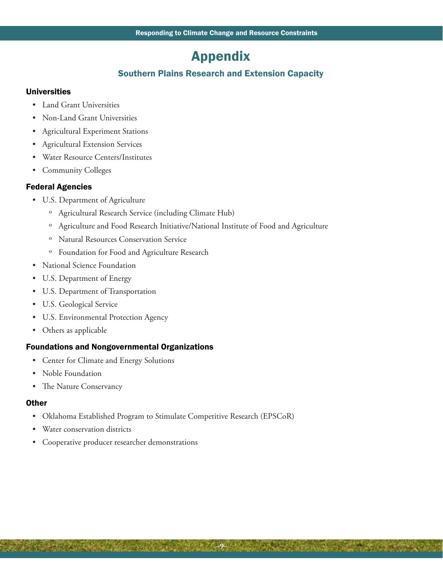## Appendix

## Southern Plains Research and Extension Capacity

### Universities

- Land Grant Universities
- Non-Land Grant Universities
- Agricultural Experiment Stations
- Agricultural Extension Services
- Water Resource Centers/Institutes
- Community Colleges

## Federal Agencies

- U.S. Department of Agriculture
	- ˏ Agricultural Research Service (including Climate Hub)
	- ˏ Agriculture and Food Research Initiative/National Institute of Food and Agriculture
	- ˏ Natural Resources Conservation Service
	- ˏ Foundation for Food and Agriculture Research
- National Science Foundation
- U.S. Department of Energy
- U.S. Department of Transportation
- U.S. Geological Service
- U.S. Environmental Protection Agency
- Others as applicable

#### Foundations and Nongovernmental Organizations

- Center for Climate and Energy Solutions
- Noble Foundation
- The Nature Conservancy

#### **Other**

• Oklahoma Established Program to Stimulate Competitive Research (EPSCoR)

**–9–**

- Water conservation districts
- Cooperative producer researcher demonstrations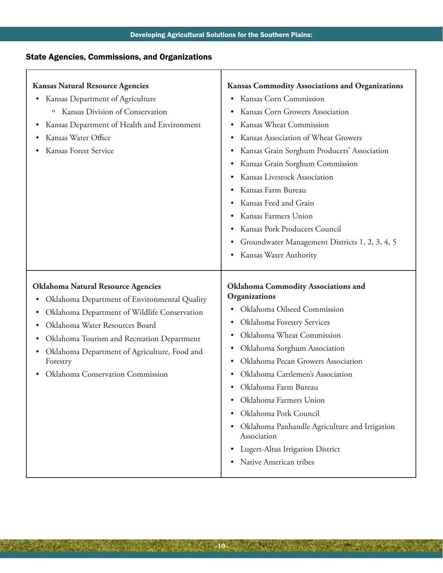## State Agencies, Commissions, and Organizations

**MARKET 1999** 

Ē

| <b>Kansas Natural Resource Agencies</b><br>Kansas Department of Agriculture<br>$\bullet$<br>Kansas Division of Conservation<br>$\mathbf{o}$<br>Kansas Department of Health and Environment<br>٠<br>Kansas Water Office<br>Kansas Forest Service                                                                                | <b>Kansas Commodity Associations and Organizations</b><br>Kansas Corn Commission<br>٠<br>Kansas Corn Growers Association<br>$\bullet$<br>Kansas Wheat Commission<br>Kansas Association of Wheat Growers<br>Kansas Grain Sorghum Producers' Association<br>Kansas Grain Sorghum Commission<br>$\bullet$<br>Kansas Livestock Association<br>Kansas Farm Bureau<br>Kansas Feed and Grain<br>Kansas Farmers Union<br>Kansas Pork Producers Council<br>Groundwater Management Districts 1, 2, 3, 4, 5<br>$\bullet$<br>Kansas Water Authority<br>$\bullet$ |
|--------------------------------------------------------------------------------------------------------------------------------------------------------------------------------------------------------------------------------------------------------------------------------------------------------------------------------|------------------------------------------------------------------------------------------------------------------------------------------------------------------------------------------------------------------------------------------------------------------------------------------------------------------------------------------------------------------------------------------------------------------------------------------------------------------------------------------------------------------------------------------------------|
| <b>Oklahoma Natural Resource Agencies</b><br>Oklahoma Department of Environmental Quality<br>٠<br>Oklahoma Department of Wildlife Conservation<br>Oklahoma Water Resources Board<br>Oklahoma Tourism and Recreation Department<br>Oklahoma Department of Agriculture, Food and<br>Forestry<br>Oklahoma Conservation Commission | <b>Oklahoma Commodity Associations and</b><br>Organizations<br>Oklahoma Oilseed Commission<br>Oklahoma Forestry Services<br>Oklahoma Wheat Commission<br>Oklahoma Sorghum Association<br>Oklahoma Pecan Growers Association<br>Oklahoma Cattlemen's Association<br>Oklahoma Farm Bureau<br>Oklahoma Farmers Union<br>Oklahoma Pork Council<br>Oklahoma Panhandle Agriculture and Irrigation<br>Association<br>Lugert-Altus Irrigation District<br>Native American tribes                                                                             |

**–10–**

2010/03/04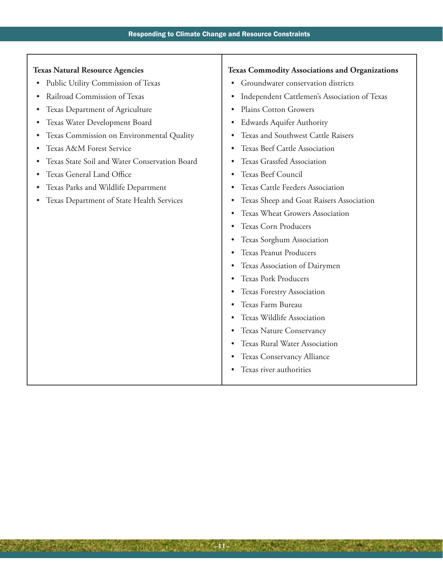T

| <b>Texas Natural Resource Agencies</b>          | <b>Texas Commodity Associations and Organizations</b> |
|-------------------------------------------------|-------------------------------------------------------|
| Public Utility Commission of Texas<br>$\bullet$ | Groundwater conservation districts<br>$\bullet$       |
| Railroad Commission of Texas                    | Independent Cattlemen's Association of Texas<br>٠     |
| Texas Department of Agriculture                 | Plains Cotton Growers<br>$\bullet$                    |
| Texas Water Development Board                   | <b>Edwards Aquifer Authority</b><br>٠                 |
| Texas Commission on Environmental Quality       | Texas and Southwest Cattle Raisers<br>٠               |
| Texas A&M Forest Service                        | Texas Beef Cattle Association<br>$\bullet$            |
| Texas State Soil and Water Conservation Board   | Texas Grassfed Association<br>٠                       |
| Texas General Land Office                       | Texas Beef Council<br>٠                               |
| Texas Parks and Wildlife Department             | Texas Cattle Feeders Association                      |
| Texas Department of State Health Services       | Texas Sheep and Goat Raisers Association              |
|                                                 | <b>Texas Wheat Growers Association</b>                |
|                                                 | <b>Texas Corn Producers</b><br>٠                      |
|                                                 | Texas Sorghum Association                             |
|                                                 | <b>Texas Peanut Producers</b>                         |
|                                                 | Texas Association of Dairymen<br>٠                    |
|                                                 | <b>Texas Pork Producers</b><br>٠                      |
|                                                 | Texas Forestry Association<br>$\bullet$               |
|                                                 | Texas Farm Bureau<br>٠                                |
|                                                 | Texas Wildlife Association<br>$\bullet$               |
|                                                 | Texas Nature Conservancy<br>٠                         |
|                                                 | Texas Rural Water Association<br>٠                    |
|                                                 | Texas Conservancy Alliance<br>٠                       |
|                                                 | Texas river authorities                               |
|                                                 |                                                       |

**–11–**

 $30.64$ 

法可诉答

W.

- 1933

在班级队员

**MARINA** 

N